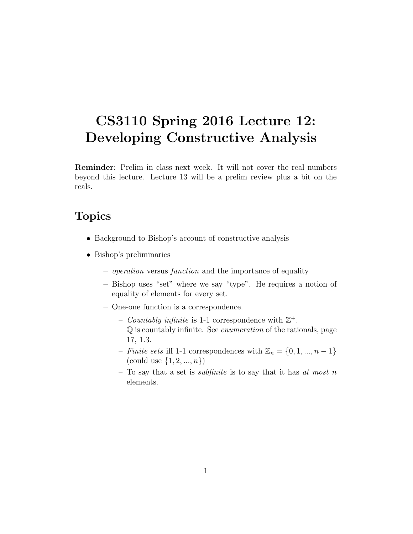# CS3110 Spring 2016 Lecture 12: Developing Constructive Analysis

Reminder: Prelim in class next week. It will not cover the real numbers beyond this lecture. Lecture 13 will be a prelim review plus a bit on the reals.

# Topics

- Background to Bishop's account of constructive analysis
- Bishop's preliminaries
	- operation versus function and the importance of equality
	- Bishop uses "set" where we say "type". He requires a notion of equality of elements for every set.
	- One-one function is a correspondence.
		- Countably infinite is 1-1 correspondence with  $\mathbb{Z}^+$ . Q is countably infinite. See enumeration of the rationals, page 17, 1.3.
		- Finite sets iff 1-1 correspondences with  $\mathbb{Z}_n = \{0, 1, ..., n-1\}$ (could use  $\{1, 2, ..., n\}$ )
		- To say that a set is *subfinite* is to say that it has at most n elements.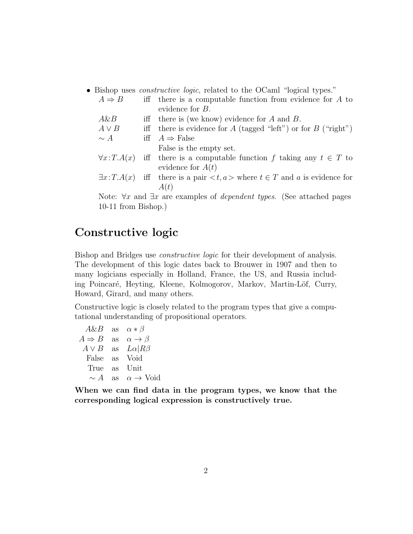• Bishop uses *constructive logic*, related to the OCaml "logical types."

| $A \Rightarrow B$                                                                              |  | iff there is a computable function from evidence for $A$ to                                             |  |  |  |
|------------------------------------------------------------------------------------------------|--|---------------------------------------------------------------------------------------------------------|--|--|--|
|                                                                                                |  | evidence for $B$ .                                                                                      |  |  |  |
| $A\&B$                                                                                         |  | iff there is (we know) evidence for $A$ and $B$ .                                                       |  |  |  |
| $A \vee B$                                                                                     |  | iff there is evidence for A (tagged "left") or for B ("right")                                          |  |  |  |
| $\sim A$                                                                                       |  | iff $A \Rightarrow$ False                                                                               |  |  |  |
|                                                                                                |  | False is the empty set.                                                                                 |  |  |  |
| $\forall x$ : $T.A(x)$                                                                         |  | iff there is a computable function f taking any $t \in T$ to                                            |  |  |  |
|                                                                                                |  | evidence for $A(t)$                                                                                     |  |  |  |
|                                                                                                |  | $\exists x$ : $T.A(x)$ iff there is a pair $\langle t, a \rangle$ where $t \in T$ and a is evidence for |  |  |  |
|                                                                                                |  | A(t)                                                                                                    |  |  |  |
| Note: $\forall x$ and $\exists x$ are examples of <i>dependent types</i> . (See attached pages |  |                                                                                                         |  |  |  |

10-11 from Bishop.)

## Constructive logic

Bishop and Bridges use constructive logic for their development of analysis. The development of this logic dates back to Brouwer in 1907 and then to many logicians especially in Holland, France, the US, and Russia including Poincaré, Heyting, Kleene, Kolmogorov, Markov, Martin-Löf, Curry, Howard, Girard, and many others.

Constructive logic is closely related to the program types that give a computational understanding of propositional operators.

| A&B               | $\operatorname{as}$ | $\alpha * \beta$           |
|-------------------|---------------------|----------------------------|
| $A \Rightarrow B$ | <b>as</b>           | $\alpha \rightarrow \beta$ |
| $A \vee B$        | as                  | $L\alpha  R\beta$          |
| False             | as                  | Void                       |
| True              | <b>as</b>           | Unit                       |
| $\sim A$          | as                  | $\alpha \rightarrow$ Void  |
|                   |                     |                            |

When we can find data in the program types, we know that the corresponding logical expression is constructively true.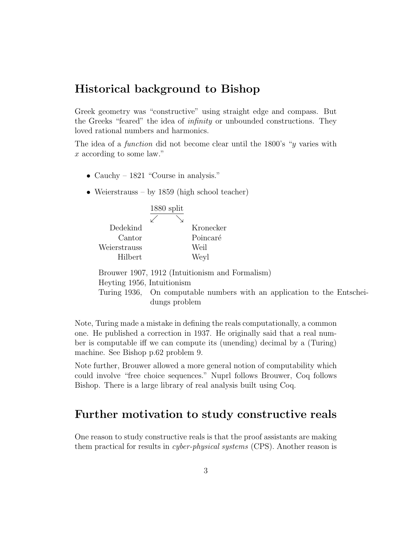### Historical background to Bishop

Greek geometry was "constructive" using straight edge and compass. But the Greeks "feared" the idea of infinity or unbounded constructions. They loved rational numbers and harmonics.

The idea of a *function* did not become clear until the 1800's "*y* varies with x according to some law."

- Cauchy 1821 "Course in analysis."
- Weierstrauss by 1859 (high school teacher)

|              | $1880$ split |           |
|--------------|--------------|-----------|
|              |              |           |
| Dedekind     |              | Kronecker |
| Cantor       |              | Poincaré  |
| Weierstrauss |              | Weil      |
| Hilbert      |              | Weyl      |

Brouwer 1907, 1912 (Intuitionism and Formalism) Heyting 1956, Intuitionism Turing 1936, On computable numbers with an application to the Entscheidungs problem

Note, Turing made a mistake in defining the reals computationally, a common one. He published a correction in 1937. He originally said that a real number is computable iff we can compute its (unending) decimal by a (Turing) machine. See Bishop p.62 problem 9.

Note further, Brouwer allowed a more general notion of computability which could involve "free choice sequences." Nuprl follows Brouwer, Coq follows Bishop. There is a large library of real analysis built using Coq.

### Further motivation to study constructive reals

One reason to study constructive reals is that the proof assistants are making them practical for results in cyber-physical systems (CPS). Another reason is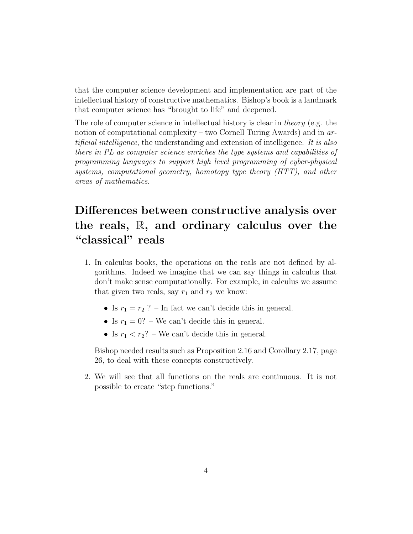that the computer science development and implementation are part of the intellectual history of constructive mathematics. Bishop's book is a landmark that computer science has "brought to life" and deepened.

The role of computer science in intellectual history is clear in theory (e.g. the notion of computational complexity – two Cornell Turing Awards) and in  $ar$ tificial intelligence, the understanding and extension of intelligence. It is also there in PL as computer science enriches the type systems and capabilities of programming languages to support high level programming of cyber-physical systems, computational geometry, homotopy type theory (HTT), and other areas of mathematics.

# Differences between constructive analysis over the reals,  $\mathbb{R}$ , and ordinary calculus over the "classical" reals

- 1. In calculus books, the operations on the reals are not defined by algorithms. Indeed we imagine that we can say things in calculus that don't make sense computationally. For example, in calculus we assume that given two reals, say  $r_1$  and  $r_2$  we know:
	- Is  $r_1 = r_2$  ? In fact we can't decide this in general.
	- Is  $r_1 = 0$ ? We can't decide this in general.
	- Is  $r_1 < r_2$ ? We can't decide this in general.

Bishop needed results such as Proposition 2.16 and Corollary 2.17, page 26, to deal with these concepts constructively.

2. We will see that all functions on the reals are continuous. It is not possible to create "step functions."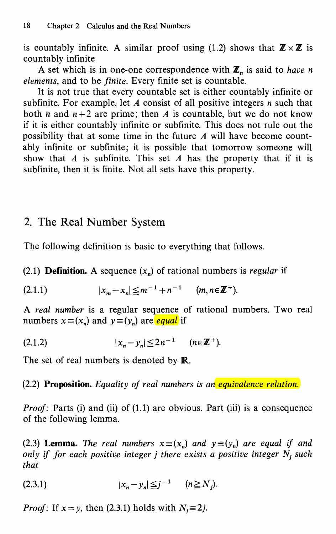is countably infinite. A similar proof using (1.2) shows that  $\mathbb{Z} \times \mathbb{Z}$  is countably infinite

A set which is in one-one correspondence with  $\mathbb{Z}_n$  is said to have n elements, and to be finite. Every finite set is countable.

It is not true that every countable set is either countably infinite or subfinite. For example, let  $A$  consist of all positive integers  $n$  such that both *n* and  $n+2$  are prime; then *A* is countable, but we do not know if it is either countably infinite or subfinite. This does not rule out the possibility that at some time in the future A will have become countably infinite or subfinite; it is possible that tomorrow someone will show that  $A$  is subfinite. This set  $A$  has the property that if it is subfinite, then it is finite. Not all sets have this property.

### 2. The Real Number System

The following definition is basic to everything that follows.

(2.1) **Definition.** A sequence  $(x_n)$  of rational numbers is regular if

$$
(2.1.1) \t\t |x_m - x_n| \leq m^{-1} + n^{-1} \t (m, n \in \mathbb{Z}^+).
$$

A real number is a regular sequence of rational numbers. Two real numbers  $x \equiv (x_n)$  and  $y \equiv (y_n)$  are equal if

$$
(2.1.2) \t\t |x_n - y_n| \leq 2n^{-1} \t (n \in \mathbb{Z}^+).
$$

The set of real numbers is denoted by **R**.

### (2.2) Proposition. Equality of real numbers is an equivalence relation.

Proof: Parts (i) and (ii) of (1.1) are obvious. Part (iii) is a consequence of the following lemma.

(2.3) Lemma. The real numbers  $x \equiv (x_n)$  and  $y \equiv (y_n)$  are equal if and only if for each positive integer j there exists a positive integer  $N_i$  such that

$$
(2.3.1) \t\t |x_n - y_n| \leq j^{-1} \t (n \geq N_j).
$$

*Proof:* If  $x = y$ , then (2.3.1) holds with  $N_i \equiv 2j$ .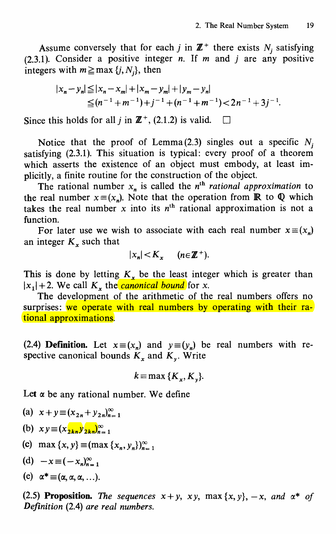Assume conversely that for each j in  $\mathbb{Z}^+$  there exists  $N_i$  satisfying  $(2.3.1)$ . Consider a positive integer n. If m and j are any positive integers with  $m \geq max \{j, N_j\}$ , then

$$
|x_n - y_n| \le |x_n - x_m| + |x_m - y_m| + |y_m - y_n|
$$
  
\n
$$
\le (n^{-1} + m^{-1}) + j^{-1} + (n^{-1} + m^{-1}) < 2n^{-1} + 3j^{-1}.
$$

Since this holds for all j in  $\mathbb{Z}^+$ , (2.1.2) is valid.  $\square$ 

Notice that the proof of Lemma (2.3) singles out a specific  $N_i$ satisfying (2.3.1). This situation is typical: every proof of a theorem which asserts the existence of an object must embody, at least implicitly, a finite routine for the construction of the object.

The rational number  $x_n$  is called the n<sup>th</sup> rational approximation to the real number  $x \equiv (x_n)$ . Note that the operation from **R** to **Q** which takes the real number x into its  $n<sup>th</sup>$  rational approximation is not a function.

For later use we wish to associate with each real number  $x \equiv (x_n)$ an integer  $K<sub>x</sub>$  such that

$$
|x_n| < K_x \quad (n \in \mathbb{Z}^+).
$$

This is done by letting  $K<sub>x</sub>$  be the least integer which is greater than  $|x_1|+2$ . We call  $K<sub>x</sub>$ , the *canonical bound* for x.

The development of the arithmetic of the real numbers offers no surprises: we operate with real numbers by operating with their rational approximations.

(2.4) **Definition.** Let  $x \equiv (x_n)$  and  $y \equiv (y_n)$  be real numbers with respective canonical bounds  $K_x$  and  $K_y$ . Write

$$
k=\max\{K_{x},K_{y}\}.
$$

Let  $\alpha$  be any rational number. We define

(a) 
$$
x + y \equiv (x_{2n} + y_{2n})_{n=1}^{\infty}
$$

(b) 
$$
xy \equiv (x_{2kn}y_{2kn})_{n=1}^{\infty}
$$

- (c) max  $\{x, y\} \equiv (\max \{x_n, y_n\})_{n=1}^{\infty}$
- (d)  $-x \equiv (-x_n)^{\infty}$

(e) 
$$
\alpha^* \equiv (\alpha, \alpha, \alpha, \ldots).
$$

(2.5) Proposition. The sequences  $x + y$ ,  $xy$ ,  $max\{x, y\}$ ,  $-x$ , and  $\alpha^*$  of Definition (2.4) are real numbers.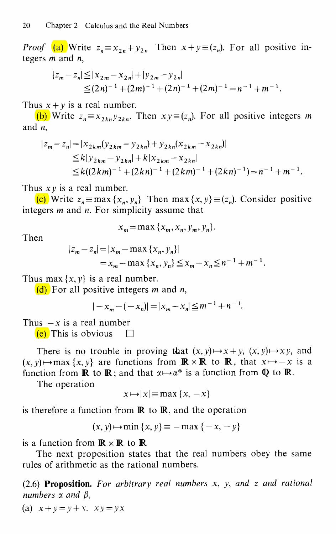*Proof* (a) Write  $z_n \equiv x_{2n} + y_{2n}$  Then  $x + y \equiv (z_n)$ . For all positive integers m and n,

$$
|z_m - z_n| \le |x_{2m} - x_{2n}| + |y_{2m} - y_{2n}|
$$
  
\n
$$
\le (2n)^{-1} + (2m)^{-1} + (2n)^{-1} + (2m)^{-1} = n^{-1} + m^{-1}.
$$

Thus  $x + y$  is a real number.

(b) Write  $z_n \equiv x_{2kn} y_{2kn}$ . Then  $xy \equiv (z_n)$ . For all positive integers m and n,

$$
|z_m - z_n| = |x_{2km}(y_{2km} - y_{2kn}) + y_{2kn}(x_{2km} - x_{2kn})|
$$
  
\n
$$
\le k|y_{2km} - y_{2kn}| + k|x_{2km} - x_{2kn}|
$$
  
\n
$$
\le k((2km)^{-1} + (2kn)^{-1} + (2km)^{-1} + (2kn)^{-1}) = n^{-1} + m^{-1}
$$

Thus  $xy$  is a real number.

(c) Write  $z_n \equiv \max\{x_n, y_n\}$  Then max  $\{x, y\} \equiv (z_n)$ . Consider positive integers  $m$  and  $n$ . For simplicity assume that

$$
x_m = \max\{x_m, x_n, y_m, y_n\}.
$$

Then

$$
|z_m - z_n| = |x_m - \max\{x_n, y_n\}|
$$
  
=  $x_m - \max\{x_n, y_n\} \le x_m - x_n \le n^{-1} + m^{-1}.$ 

Thus max  $\{x, y\}$  is a real number.

(d) For all positive integers *m* and *n*,

$$
|-x_m - (-x_n)| = |x_m - x_n| \le m^{-1} + n^{-1}.
$$

Thus  $-x$  is a real number

**(e)** This is obvious  $\Box$ 

There is no trouble in proving that  $(x, y) \mapsto x+y$ ,  $(x, y) \mapsto xy$ , and  $(x, y) \mapsto \max \{x, y\}$  are functions from  $\mathbb{R} \times \mathbb{R}$  to  $\mathbb{R}$ , that  $x \mapsto -x$  is a function from **R** to **R**; and that  $\alpha \mapsto \alpha^*$  is a function from **Q** to **R**.

The operation

$$
x \mapsto |x| \equiv \max \{x, -x\}
$$

is therefore a function from  $\mathbb R$  to  $\mathbb R$ , and the operation

$$
(x, y) \mapsto \min\{x, y\} \equiv -\max\{-x, -y\}
$$

is a function from  $\mathbb{R} \times \mathbb{R}$  to  $\mathbb{R}$ 

The next proposition states that the real numbers obey the same rules of arithmetic as the rational numbers.

 $(2.6)$  Proposition. For arbitrary real numbers x, y, and z and rational numbers  $\alpha$  and  $\beta$ ,

(a)  $x+y=y+x$ ,  $x y=y x$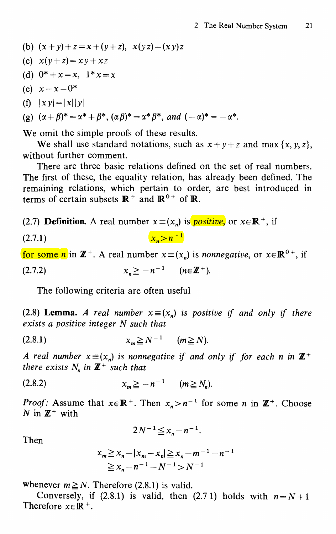(b) 
$$
(x+y)+z=x+(y+z), x(yz)=(xy)z
$$

- (c)  $x(y+z)=xy+xz$
- (d)  $0^* + x = x$ ,  $1^*x = x$
- (e)  $x-x=0^*$

$$
(f) \quad |xy| = |x||y|
$$

(g) 
$$
(\alpha + \beta)^* = \alpha^* + \beta^*, (\alpha \beta)^* = \alpha^* \beta^*, \text{ and } (-\alpha)^* = -\alpha^*.
$$

We omit the simple proofs of these results.

We shall use standard notations, such as  $x+y+z$  and max  $\{x, y, z\}$ , without further comment.

There are three basic relations defined on the set of real numbers. The first of these, the equality relation, has already been defined. The remaining relations, which pertain to order, are best introduced in terms of certain subsets  $\mathbb{R}^+$  and  $\mathbb{R}^{0+}$  of  $\mathbb{R}$ .

(2.7) **Definition.** A real number  $x \equiv (x_n)$  is **positive**, or  $x \in \mathbb{R}^+$ , if

$$
(2.7.1) \t\t\t x_n > n^{-1}
$$

for some *n* in  $\mathbb{Z}^+$ . A real number  $x \equiv (x_n)$  is *nonnegative*, or  $x \in \mathbb{R}^{0+}$ , if

(2.7.2) 
$$
x_n \geq -n^{-1} \quad (n \in \mathbb{Z}^+).
$$

The following criteria are often useful

(2.8) Lemma. A real number  $x \equiv (x_n)$  is positive if and only if there exists a positive integer N such that

$$
(2.8.1) \t\t x_m \ge N^{-1} \t (m \ge N).
$$

A real number  $x \equiv (x_n)$  is nonnegative if and only if for each n in  $\mathbb{Z}^+$ there exists  $N_n$  in  $\mathbb{Z}^+$  such that

(2.8.2) 
$$
x_m \ge -n^{-1} \quad (m \ge N_n).
$$

*Proof:* Assume that  $x \in \mathbb{R}^+$ . Then  $x_n > n^{-1}$  for some n in  $\mathbb{Z}^+$ . Choose N in  $\mathbb{Z}^+$  with

 $2N^{-1} \leq x_n - n^{-1}$ .

Then

$$
x_m \ge x_n - |x_m - x_n| \ge x_n - m^{-1} - n^{-1}
$$
  

$$
\ge x_n - n^{-1} - N^{-1} > N^{-1}
$$

whenever  $m \geq N$ . Therefore (2.8.1) is valid.

Conversely, if (2.8.1) is valid, then (2.7.1) holds with  $n = N + 1$ Therefore  $x \in \mathbb{R}^+$ .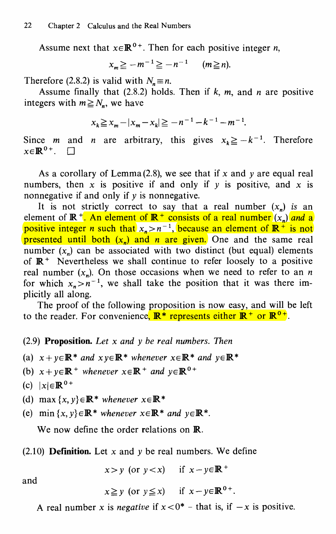Assume next that  $x \in \mathbb{R}^{0+}$ . Then for each positive integer *n*,

 $x_m \ge -m^{-1} \ge -n^{-1}$  (m \imes n).

Therefore (2.8.2) is valid with  $N_n \equiv n$ .

Assume finally that (2.8.2) holds. Then if  $k$ ,  $m$ , and  $n$  are positive integers with  $m \geq N_n$ , we have

$$
x_k \geqq x_m - |x_m - x_k| \geqq -n^{-1} - k^{-1} - m^{-1}.
$$

Since *m* and *n* are arbitrary, this gives  $x_k \geq -k^{-1}$ . Therefore  $x \in \mathbb{R}^{0+}$ .  $\Box$ 

As a corollary of Lemma (2.8), we see that if x and  $\nu$  are equal real numbers, then x is positive if and only if y is positive, and x is nonnegative if and only if  $\nu$  is nonnegative.

It is not strictly correct to say that a real number  $(x_n)$  is an element of  $\mathbb{R}^+$ . An element of  $\mathbb{R}^+$  consists of a real number  $(x_n)$  and a positive integer *n* such that  $x_n > n^{-1}$ , because an element of  $\mathbb{R}^+$  is not presented until both  $(x_n)$  and *n* are given. One and the same real number  $(x_n)$  can be associated with two distinct (but equal) elements of  $\mathbb{R}^+$  Nevertheless we shall continue to refer loosely to a positive real number  $(x_n)$ . On those occasions when we need to refer to an n for which  $x_n > n^{-1}$ , we shall take the position that it was there implicitly all along.

The proof of the following proposition is now easy, and will be left to the reader. For convenience,  $\mathbb{R}^*$  represents either  $\mathbb{R}^+$  or  $\mathbb{R}^{0+}$ .

#### $(2.9)$  **Proposition.** Let x and y be real numbers. Then

- (a)  $x+y\in\mathbb{R}^*$  and  $x y\in\mathbb{R}^*$  whenever  $x\in\mathbb{R}^*$  and  $y\in\mathbb{R}^*$
- (b)  $x+y\in\mathbb{R}^+$  whenever  $x\in\mathbb{R}^+$  and  $y\in\mathbb{R}^{0+}$
- (c)  $|x| \in \mathbb{R}^{0+}$
- (d) max  $\{x, y\} \in \mathbb{R}^*$  whenever  $x \in \mathbb{R}^*$
- (e) min $\{x, y\} \in \mathbb{R}^*$  whenever  $x \in \mathbb{R}^*$  and  $y \in \mathbb{R}^*$ .

We now define the order relations on **R**.

#### (2.10) **Definition.** Let  $x$  and  $y$  be real numbers. We define

 $x>y$  (or  $y < x$ ) if  $x-y \in \mathbb{R}^+$ 

and

$$
x \geq y
$$
 (or  $y \leq x$ ) if  $x - y \in \mathbb{R}^{0+}$ .

A real number x is *negative* if  $x < 0^*$  - that is, if  $-x$  is positive.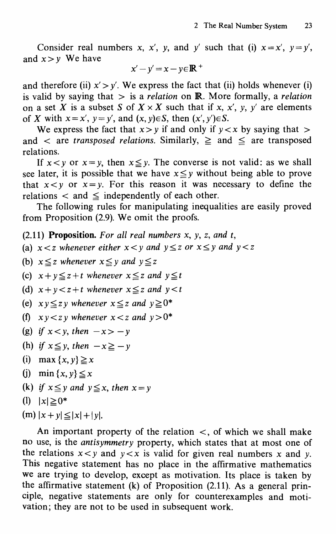Consider real numbers x, x', y, and y' such that (i)  $x = x'$ ,  $y = y'$ , and  $x > v$  We have

$$
x'-y'=x-y\in\mathbb{R}^+
$$

and therefore (ii)  $x' > y'$ . We express the fact that (ii) holds whenever (i) is valid by saying that  $>$  is a relation on **R**. More formally, a relation on a set X is a subset S of  $X \times X$  such that if x, x', y, y' are elements of X with  $x = x'$ ,  $y = y'$ , and  $(x, y) \in S$ , then  $(x', y') \in S$ .

We express the fact that  $x > v$  if and only if  $v < x$  by saying that  $>$ and  $\langle$  are transposed relations. Similarly,  $\geq$  and  $\leq$  are transposed relations.

If  $x < y$  or  $x = y$ , then  $x \le y$ . The converse is not valid: as we shall see later, it is possible that we have  $x \leq y$  without being able to prove that  $x < y$  or  $x = y$ . For this reason it was necessary to define the relations  $\lt$  and  $\leq$  independently of each other.

The following rules for manipulating inequalities are easily proved from Proposition (2.9). We omit the proofs.

(2.11) Proposition. For all real numbers  $x$ ,  $y$ ,  $z$ , and  $t$ ,

- (a)  $x < z$  whenever either  $x < y$  and  $y \le z$  or  $x \le y$  and  $y < z$
- (b)  $x \leq z$  whenever  $x \leq y$  and  $y \leq z$
- (c)  $x+y \leq z+t$  whenever  $x \leq z$  and  $y \leq t$
- (d)  $x+y\leq z+t$  whenever  $x\leq z$  and  $y\leq t$
- (e)  $xy \leq zy$  whenever  $x \leq z$  and  $y \geq 0^*$
- (f)  $x y < z y$  whenever  $x < z$  and  $y > 0^*$
- (g) if  $x < y$ , then  $-x > -y$
- (h) if  $x \leq y$ , then  $-x \geq -y$
- (i) max  $\{x, y\} \ge x$
- (j) min  $\{x, y\} \leq x$
- (k) if  $x \le y$  and  $y \le x$ , then  $x = y$
- (1)  $|x| \ge 0^*$
- $(m) |x + y| \leq |x| + |y|$ .

An important property of the relation  $\lt$ , of which we shall make no use, is the antisymmetry property, which states that at most one of the relations  $x < y$  and  $y < x$  is valid for given real numbers x and y. This negative statement has no place in the affirmative mathematics we are trying to develop, except as motivation. Its place is taken by the affirmative statement (k) of Proposition (2.11). As a general principle, negative statements are only for counterexamples and motivation; they are not to be used in subsequent work.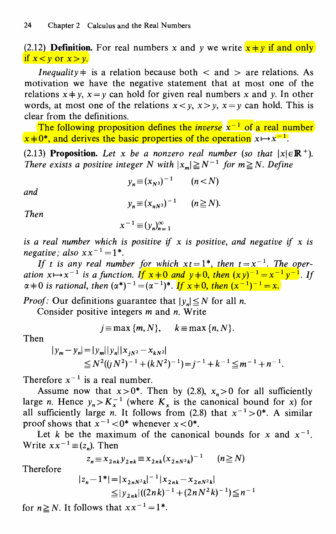(2.12) **Definition.** For real numbers x and y we write  $x \neq y$  if and only if  $x < y$  or  $x > y$ .

*Inequality*  $\neq$  is a relation because both  $\lt$  and  $\gt$  are relations. As motivation we have the negative statement that at most one of the relations  $x \neq y$ ,  $x = y$  can hold for given real numbers x and y. In other words, at most one of the relations  $x < y$ ,  $x > y$ ,  $x = y$  can hold. This is clear from the definitions.

The following proposition defines the *inverse*  $x^{-1}$  of a real number  $x+0^*$ , and derives the basic properties of the operation  $x \mapsto x^{-1}$ .

(2.13) Proposition. Let x be a nonzero real number (so that  $|x| \in \mathbb{R}^+$ ). There exists a positive integer N with  $|x_m| \ge N^{-1}$  for  $m \ge N$ . Define

$$
y_n \equiv (x_{N^3})^{-1} \qquad (n < N)
$$

and

$$
y_n \equiv (x_{nN^2})^{-1} \qquad (n \geq N).
$$

Then

$$
x^{-1} \equiv (y_n)_{n=1}^{\infty}
$$

is a real number which is positive if x is positive, and negative if x is negative; also  $xx^{-1} = 1^*$ .

If t is any real number for which  $xt=1^*$ , then  $t=x^{-1}$ . The operation  $x \mapsto x^{-1}$  is a function. If  $x \neq 0$  and  $y \neq 0$ , then  $(xy)^{-1} = x^{-1}y^{-1}$ . If  $\alpha+0$  is rational, then  $(\alpha^*)^{-1}=(\alpha^{-1})^*$ . If  $x+0$ , then  $(x^{-1})^{-1}=x$ .

*Proof:* Our definitions guarantee that  $|y_n| \leq N$  for all *n*.

Consider positive integers  $m$  and  $n$ . Write

$$
j \equiv \max \{m, N\}, \quad k \equiv \max \{n, N\}.
$$

Then

$$
|y_m - y_n| = |y_m||y_n||x_{jN^2} - x_{kN^2}|
$$
  
\n
$$
\leq N^2((jN^2)^{-1} + (kN^2)^{-1}) = j^{-1} + k^{-1} \leq m^{-1} + n^{-1}.
$$

Therefore  $x^{-1}$  is a real number.

Assume now that  $x>0^*$ . Then by (2.8),  $x_n>0$  for all sufficiently large n. Hence  $y_n > K_x^{-1}$  (where  $K_x$  is the canonical bound for x) for all sufficiently large n. It follows from (2.8) that  $x^{-1} > 0^*$ . A similar proof shows that  $x^{-1}$  < 0\* whenever  $x$  < 0\*.

Let k be the maximum of the canonical bounds for x and  $x^{-1}$ . Write  $xx^{-1} \equiv (z_n)$ . Then

$$
z_n \equiv x_{2nk} y_{2nk} \equiv x_{2nk} (x_{2nN^2k})^{-1} \qquad (n \ge N)
$$

Therefore

$$
|z_n - 1^*| = |x_{2nN^2k}|^{-1} |x_{2nk} - x_{2nN^2k}|
$$
  
\n
$$
\leq |y_{2nk}|((2nk)^{-1} + (2nN^2k)^{-1}) \leq n^{-1}
$$

for  $n \ge N$ . It follows that  $xx^{-1} = 1^*$ .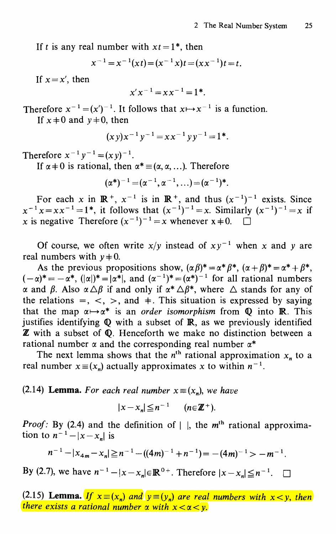If t is any real number with  $xt = 1^*$ , then

$$
x^{-1} = x^{-1}(xt) = (x^{-1}x)t = (xx^{-1})t = t.
$$

If  $x = x'$ , then

$$
x'x^{-1} = x x^{-1} = 1^*.
$$

Therefore  $x^{-1} = (x')^{-1}$ . It follows that  $x \mapsto x^{-1}$  is a function. If  $x \neq 0$  and  $y \neq 0$ , then

$$
(xy)x^{-1}y^{-1} = xx^{-1}yy^{-1} = 1^*.
$$

Therefore  $x^{-1}y^{-1} = (xy)^{-1}$ .

If  $\alpha \neq 0$  is rational, then  $\alpha^* \equiv (\alpha, \alpha, ...)$ . Therefore

$$
(\alpha^*)^{-1} = (\alpha^{-1}, \alpha^{-1}, \ldots) = (\alpha^{-1})^*.
$$

For each x in  $\mathbb{R}^+$ ,  $x^{-1}$  is in  $\mathbb{R}^+$ , and thus  $(x^{-1})^{-1}$  exists. Since  $x^{-1}x=x^{-1}=1^*$ , it follows that  $(x^{-1})^{-1}=x$ . Similarly  $(x^{-1})^{-1}=x$  if x is negative Therefore  $(x^{-1})^{-1} = x$  whenever  $x \neq 0$ .

Of course, we often write  $x/y$  instead of  $xy^{-1}$  when x and y are real numbers with  $y \neq 0$ .

As the previous propositions show,  $(\alpha \beta)^* = \alpha^* \beta^*$ ,  $(\alpha + \beta)^* = \alpha^* + \beta^*$ ,  $(-\alpha)^*=-\alpha^*$ ,  $(|\alpha|)^*=|\alpha^*|$ , and  $(\alpha^{-1})^*=({\alpha^*})^{-1}$  for all rational numbers  $\alpha$  and  $\beta$ . Also  $\alpha \triangle \beta$  if and only if  $\alpha^* \triangle \beta^*$ , where  $\triangle$  stands for any of the relations  $=$ ,  $\lt$ ,  $>$ , and  $\pm$ . This situation is expressed by saying that the map  $\alpha \mapsto \alpha^*$  is an order isomorphism from Q into R. This justifies identifying Q with a subset of IR, as we previously identified Z with a subset of Q. Henceforth we make no distinction between a rational number  $\alpha$  and the corresponding real number  $\alpha^*$ 

The next lemma shows that the  $n<sup>th</sup>$  rational approximation  $x<sub>n</sub>$  to a real number  $x \equiv (x_n)$  actually approximates x to within  $n^{-1}$ .

#### (2.14) Lemma. For each real number  $x \equiv (x_n)$ , we have

$$
|x-x_n|\leq n^{-1} \qquad (n\in\mathbb{Z}^+).
$$

*Proof:* By (2.4) and the definition of  $\vert \cdot \vert$ , the m<sup>th</sup> rational approximation to  $n^{-1} - |x - x_n|$  is

$$
n^{-1} - |x_{4m} - x_n| \geq n^{-1} - ((4m)^{-1} + n^{-1}) = -(4m)^{-1} > -m^{-1}.
$$

By (2.7), we have  $n^{-1} - |x - x_n| \in \mathbb{R}^{0+}$ . Therefore  $|x - x_n| \leq n^{-1}$ .

(2.15) Lemma. If  $x \equiv (x_n)$  and  $y \equiv (y_n)$  are real numbers with  $x < y$ , then there exists a rational number  $\alpha$  with  $x < \alpha < \nu$ .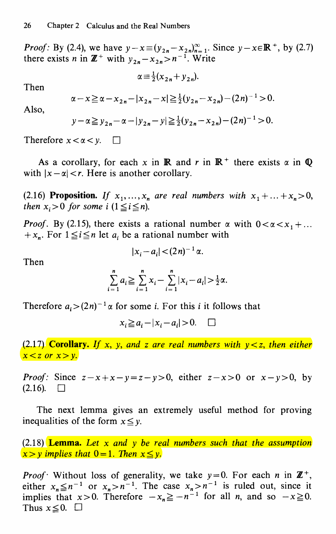*Proof:* By (2.4), we have  $y - x \equiv (y_{2n} - x_{2n})_{n=1}^{\infty}$ . Since  $y - x \in \mathbb{R}^+$ , by (2.7) there exists n in  $\mathbb{Z}^+$  with  $y_{2n}-x_{2n}>n^{-1}$ . Write

$$
\alpha \equiv \frac{1}{2}(x_{2n} + y_{2n}).
$$

Then

$$
\alpha - x \geq \alpha - x_{2n} - |x_{2n} - x| \geq \frac{1}{2}(y_{2n} - x_{2n}) - (2n)^{-1} > 0.
$$

Also,

$$
y - \alpha \ge y_{2n} - \alpha - |y_{2n} - y| \ge \frac{1}{2}(y_{2n} - x_{2n}) - (2n)^{-1} > 0.
$$

Therefore  $x < \alpha < y$ .  $\Box$ 

As a corollary, for each x in **R** and r in  $\mathbb{R}^+$  there exists  $\alpha$  in  $\mathbb{Q}$ with  $|x - \alpha| < r$ . Here is another corollary.

(2.16) Proposition. If  $x_1, \ldots, x_n$  are real numbers with  $x_1 + \ldots + x_n > 0$ , then  $x_i > 0$  for some i  $(1 \le i \le n)$ .

*Proof.* By (2.15), there exists a rational number  $\alpha$  with  $0 < \alpha < x_1 + ...$ +  $x_n$ . For  $1 \le i \le n$  let  $a_i$  be a rational number with

$$
|x_i-a_i|< (2n)^{-1}\alpha.
$$

Then

$$
\sum_{i=1}^{n} a_i \ge \sum_{i=1}^{n} x_i - \sum_{i=1}^{n} |x_i - a_i| > \frac{1}{2}\alpha.
$$

Therefore  $a_i > (2n)^{-1} \alpha$  for some *i*. For this *i* it follows that

$$
x_i \ge a_i - |x_i - a_i| > 0. \quad \Box
$$

(2.17) Corollary. If x, y, and z are real numbers with  $y < z$ , then either  $x < z$  or  $x > y$ .

*Proof:* Since  $z-x+x-y=z-y>0$ , either  $z-x>0$  or  $x-y>0$ , by  $(2.16)$ .  $\Box$ 

The next lemma gives an extremely useful method for proving inequalities of the form  $x \leq y$ .

 $(2.18)$  **Lemma.** Let x and y be real numbers such that the assumption  $x > y$  implies that  $0 = 1$ . Then  $x \le y$ .

**Proof** Without loss of generality, we take  $y=0$ . For each n in  $\mathbb{Z}^+$ , either  $x_n \leq n^{-1}$  or  $x_n > n^{-1}$ . The case  $x_n > n^{-1}$  is ruled out, since it implies that  $x > 0$ . Therefore  $-x_n \ge -n^{-1}$  for all *n*, and so  $-x \ge 0$ .<br>Thus  $x \le 0$ .  $\Box$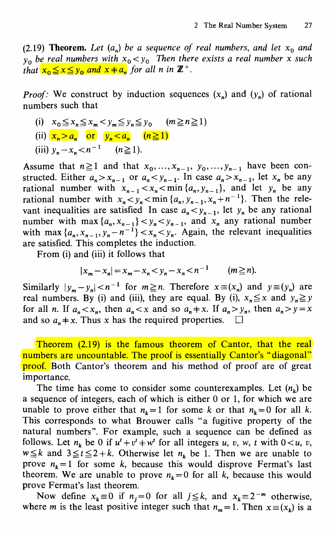(2.19) **Theorem.** Let  $(a_n)$  be a sequence of real numbers, and let  $x_0$  and  $y_0$  be real numbers with  $x_0 < y_0$  Then there exists a real number x such that  $x_0 \le x \le y_0$  and  $x \ne a_n$  for all n in  $\mathbb{Z}^+$ .

*Proof:* We construct by induction sequences  $(x_n)$  and  $(y_n)$  of rational numbers such that

(i)  $x_0 \le x_n \le x_m < y_m \le y_n \le y_0$   $(m \ge n \ge 1)$ (ii)  $x_n > a_n$  or  $y_n < a_n$   $(n \ge 1)$ (iii)  $y_n - x_n < n^{-1}$  ( $n \ge 1$ ).

Assume that  $n \ge 1$  and that  $x_0, \ldots, x_{n-1}, y_0, \ldots, y_{n-1}$  have been constructed. Either  $a_n > x_{n-1}$  or  $a_n < y_{n-1}$ . In case  $a_n > x_{n-1}$ , let  $x_n$  be any rational number with  $x_{n-1} < x_n < \min\{a_n, y_{n-1}\}\$ , and let  $y_n$  be any rational number with  $x_n < y_n < \min\{a_n, y_{n-1}, x_n + n^{-1}\}\$ . Then the relevant inequalities are satisfied In case  $a_n < y_{n-1}$ , let  $y_n$  be any rational number with max  $\{a_n, x_{n-1}\} < y_n < y_{n-1}$ , and  $x_n$  any rational number with max  $\{a_n, x_{n-1}, y_n - n^{-1}\} < x_n < y_n$ . Again, the relevant inequalities are satisfied. This completes the induction.

From (i) and (iii) it follows that

$$
|x_m - x_n| = x_m - x_n < y_n - x_n < n^{-1} \quad (m \ge n).
$$

Similarly  $|y_m - y_n| < n^{-1}$  for  $m \ge n$ . Therefore  $x = (x_n)$  and  $y = (y_n)$  are real numbers. By (i) and (iii), they are equal. By (i),  $x_n \leq x$  and  $y_n \geq y$ for all *n*. If  $a_n < x_n$ , then  $a_n < x$  and so  $a_n \neq x$ . If  $a_n > y_n$ , then  $a_n > y = x$ and so  $a_n \neq x$ . Thus x has the required properties.  $\Box$ 

Theorem (2.19) is the famous theorem of Cantor, that the real numbers are uncountable. The proof is essentially Cantor's "diagonal" proof. Both Cantor's theorem and his method of proof are of great importance.

The time has come to consider some counterexamples. Let  $(n_k)$  be a sequence of integers, each of which is either 0 or 1, for which we are unable to prove either that  $n_k = 1$  for some k or that  $n_k = 0$  for all k. This corresponds to what Brouwer calls "a fugitive property of the natural numbers". For example, such a sequence can be defined as follows. Let  $n_k$  be 0 if  $u^t + v^t + w^t$  for all integers u, v, w, t with  $0 \lt u$ , v,  $w \leq k$  and  $3 \leq t \leq 2 + k$ . Otherwise let  $n_k$  be 1. Then we are unable to prove  $n_k=1$  for some k, because this would disprove Fermat's last theorem. We are unable to prove  $n_k=0$  for all k, because this would prove Fermat's last theorem.

Now define  $x_k \equiv 0$  if  $n_j = 0$  for all  $j \leq k$ , and  $x_k = 2^{-m}$  otherwise, where *m* is the least positive integer such that  $n_m = 1$ . Then  $x \equiv (x_k)$  is a